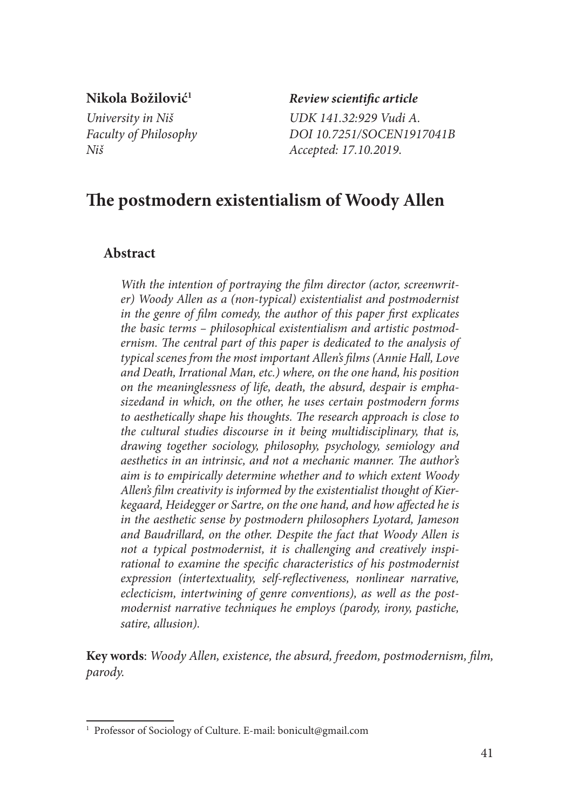**Nikola Božilović1** *Review scientific article*

*University in Niš UDK 141.32:929 Vudi A. Faculty of Philosophy DOI 10.7251/SOCEN1917041B Niš Accepted: 17.10.2019.*

# **The postmodern existentialism of Woody Allen**

## **Abstract**

*With the intention of portraying the film director (actor, screenwriter) Woody Allen as a (non-typical) existentialist and postmodernist in the genre of film comedy, the author of this paper first explicates the basic terms – philosophical existentialism and artistic postmodernism. The central part of this paper is dedicated to the analysis of typical scenes from the most important Allen's films (Annie Hall, Love and Death, Irrational Man, etc.) where, on the one hand, his position on the meaninglessness of life, death, the absurd, despair is emphasizedand in which, on the other, he uses certain postmodern forms to aesthetically shape his thoughts. The research approach is close to the cultural studies discourse in it being multidisciplinary, that is, drawing together sociology, philosophy, psychology, semiology and aesthetics in an intrinsic, and not a mechanic manner. The author's aim is to empirically determine whether and to which extent Woody Allen's film creativity is informed by the existentialist thought of Kierkegaard, Heidegger or Sartre, on the one hand, and how affected he is in the aesthetic sense by postmodern philosophers Lyotard, Jameson and Baudrillard, on the other. Despite the fact that Woody Allen is not a typical postmodernist, it is challenging and creatively inspi*rational to examine the specific characteristics of his postmodernist *expression (intertextuality, self-reflectiveness, nonlinear narrative, eclecticism, intertwining of genre conventions), as well as the postmodernist narrative techniques he employs (parody, irony, pastiche, satire, allusion).*

**Key words**: *Woody Allen, existence, the absurd, freedom, postmodernism, film, parody.*

<sup>&</sup>lt;sup>1</sup> Professor of Sociology of Culture. E-mail: bonicult@gmail.com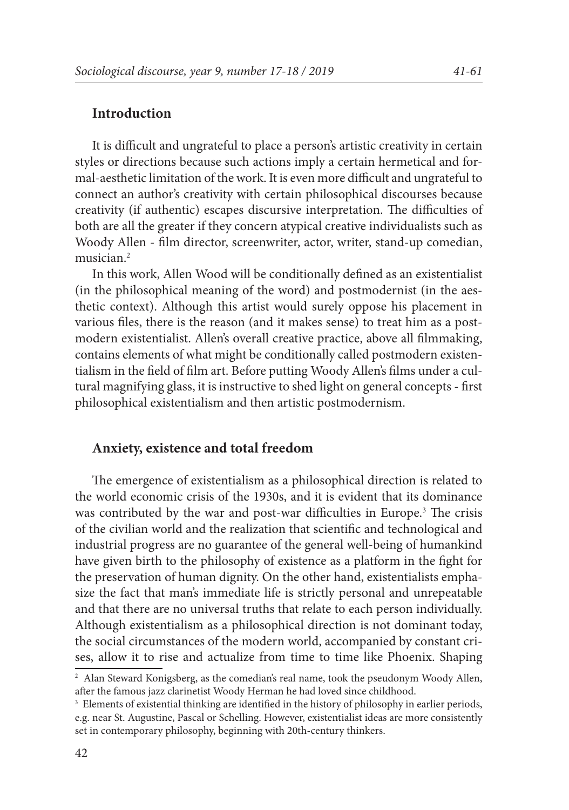#### **Introduction**

It is difficult and ungrateful to place a person's artistic creativity in certain styles or directions because such actions imply a certain hermetical and formal-aesthetic limitation of the work. It is even more difficult and ungrateful to connect an author's creativity with certain philosophical discourses because creativity (if authentic) escapes discursive interpretation. The difficulties of both are all the greater if they concern atypical creative individualists such as Woody Allen - film director, screenwriter, actor, writer, stand-up comedian, musician.2

In this work, Allen Wood will be conditionally defined as an existentialist (in the philosophical meaning of the word) and postmodernist (in the aesthetic context). Although this artist would surely oppose his placement in various files, there is the reason (and it makes sense) to treat him as a postmodern existentialist. Allen's overall creative practice, above all filmmaking, contains elements of what might be conditionally called postmodern existentialism in the field of film art. Before putting Woody Allen's films under a cultural magnifying glass, it is instructive to shed light on general concepts - first philosophical existentialism and then artistic postmodernism.

#### **Anxiety, existence and total freedom**

The emergence of existentialism as a philosophical direction is related to the world economic crisis of the 1930s, and it is evident that its dominance was contributed by the war and post-war difficulties in Europe.<sup>3</sup> The crisis of the civilian world and the realization that scientific and technological and industrial progress are no guarantee of the general well-being of humankind have given birth to the philosophy of existence as a platform in the fight for the preservation of human dignity. On the other hand, existentialists emphasize the fact that man's immediate life is strictly personal and unrepeatable and that there are no universal truths that relate to each person individually. Although existentialism as a philosophical direction is not dominant today, the social circumstances of the modern world, accompanied by constant crises, allow it to rise and actualize from time to time like Phoenix. Shaping

<sup>2</sup> Alan Steward Konigsberg, as the comedian's real name, took the pseudonym Woody Allen, after the famous jazz clarinetist Woody Herman he had loved since childhood.

<sup>&</sup>lt;sup>3</sup> Elements of existential thinking are identified in the history of philosophy in earlier periods, e.g. near St. Augustine, Pascal or Schelling. However, existentialist ideas are more consistently set in contemporary philosophy, beginning with 20th-century thinkers.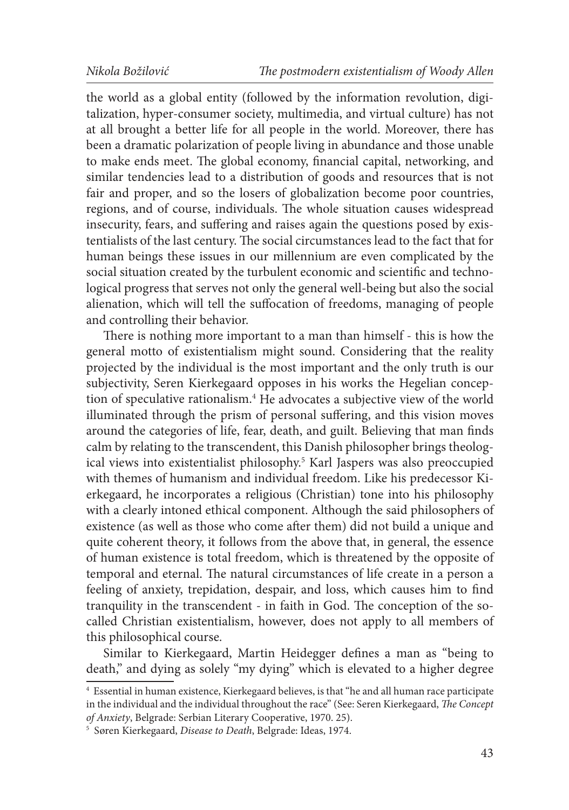the world as a global entity (followed by the information revolution, digitalization, hyper-consumer society, multimedia, and virtual culture) has not at all brought a better life for all people in the world. Moreover, there has been a dramatic polarization of people living in abundance and those unable to make ends meet. The global economy, financial capital, networking, and similar tendencies lead to a distribution of goods and resources that is not fair and proper, and so the losers of globalization become poor countries, regions, and of course, individuals. The whole situation causes widespread insecurity, fears, and suffering and raises again the questions posed by existentialists of the last century. The social circumstances lead to the fact that for human beings these issues in our millennium are even complicated by the social situation created by the turbulent economic and scientific and technological progress that serves not only the general well-being but also the social alienation, which will tell the suffocation of freedoms, managing of people and controlling their behavior.

There is nothing more important to a man than himself - this is how the general motto of existentialism might sound. Considering that the reality projected by the individual is the most important and the only truth is our subjectivity, Seren Kierkegaard opposes in his works the Hegelian conception of speculative rationalism.4 He advocates a subjective view of the world illuminated through the prism of personal suffering, and this vision moves around the categories of life, fear, death, and guilt. Believing that man finds calm by relating to the transcendent, this Danish philosopher brings theological views into existentialist philosophy.5 Karl Jaspers was also preoccupied with themes of humanism and individual freedom. Like his predecessor Kierkegaard, he incorporates a religious (Christian) tone into his philosophy with a clearly intoned ethical component. Although the said philosophers of existence (as well as those who come after them) did not build a unique and quite coherent theory, it follows from the above that, in general, the essence of human existence is total freedom, which is threatened by the opposite of temporal and eternal. The natural circumstances of life create in a person a feeling of anxiety, trepidation, despair, and loss, which causes him to find tranquility in the transcendent - in faith in God. The conception of the socalled Christian existentialism, however, does not apply to all members of this philosophical course.

Similar to Kierkegaard, Martin Heidegger defines a man as "being to death," and dying as solely "my dying" which is elevated to a higher degree

<sup>4</sup> Essential in human existence, Kierkegaard believes, is that "he and all human race participate in the individual and the individual throughout the race" (See: Seren Kierkegaard, *The Concept of Anxiety*, Belgrade: Serbian Literary Cooperative, 1970. 25).

<sup>5</sup> Søren Kierkegaard, *Disease to Death*, Belgrade: Ideas, 1974.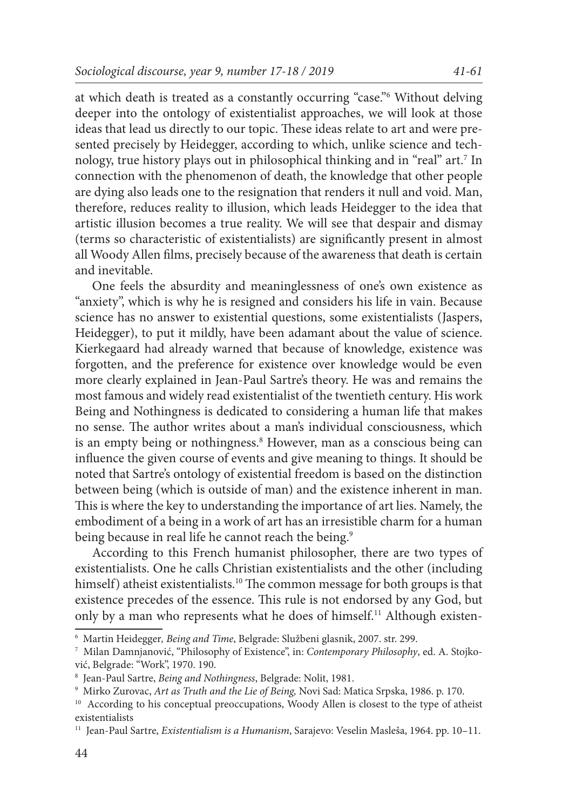at which death is treated as a constantly occurring "case."6 Without delving deeper into the ontology of existentialist approaches, we will look at those ideas that lead us directly to our topic. These ideas relate to art and were presented precisely by Heidegger, according to which, unlike science and technology, true history plays out in philosophical thinking and in "real" art.7 In connection with the phenomenon of death, the knowledge that other people are dying also leads one to the resignation that renders it null and void. Man, therefore, reduces reality to illusion, which leads Heidegger to the idea that artistic illusion becomes a true reality. We will see that despair and dismay (terms so characteristic of existentialists) are significantly present in almost

all Woody Allen films, precisely because of the awareness that death is certain

and inevitable. One feels the absurdity and meaninglessness of one's own existence as "anxiety", which is why he is resigned and considers his life in vain. Because science has no answer to existential questions, some existentialists (Jaspers, Heidegger), to put it mildly, have been adamant about the value of science. Kierkegaard had already warned that because of knowledge, existence was forgotten, and the preference for existence over knowledge would be even more clearly explained in Jean-Paul Sartre's theory. He was and remains the most famous and widely read existentialist of the twentieth century. His work Being and Nothingness is dedicated to considering a human life that makes no sense. The author writes about a man's individual consciousness, which is an empty being or nothingness.8 However, man as a conscious being can influence the given course of events and give meaning to things. It should be noted that Sartre's ontology of existential freedom is based on the distinction between being (which is outside of man) and the existence inherent in man. This is where the key to understanding the importance of art lies. Namely, the embodiment of a being in a work of art has an irresistible charm for a human being because in real life he cannot reach the being.<sup>9</sup>

According to this French humanist philosopher, there are two types of existentialists. One he calls Christian existentialists and the other (including himself) atheist existentialists.<sup>10</sup> The common message for both groups is that existence precedes of the essence. This rule is not endorsed by any God, but only by a man who represents what he does of himself.<sup>11</sup> Although existen-

44

<sup>6</sup> Martin Heidegger*, Being and Time*, Belgrade: Službeni glasnik, 2007. str. 299.

<sup>7</sup> Milan Damnjanović, "Philosophy of Existence", in: *Contemporary Philosophy*, ed. A. Stojković, Belgrade: "Work", 1970. 190.

<sup>8</sup> Jean-Paul Sartre, *Being and Nothingness*, Belgrade: Nolit, 1981.

<sup>9</sup> Mirko Zurovac, *Art as Truth and the Lie of Being,* Novi Sad: Matica Srpska, 1986. p. 170.

<sup>&</sup>lt;sup>10</sup> According to his conceptual preoccupations, Woody Allen is closest to the type of atheist existentialists

<sup>11</sup> Jean-Paul Sartre, *Existentialism is a Humanism*, Sarajevo: Veselin Masleša, 1964. pp. 10–11.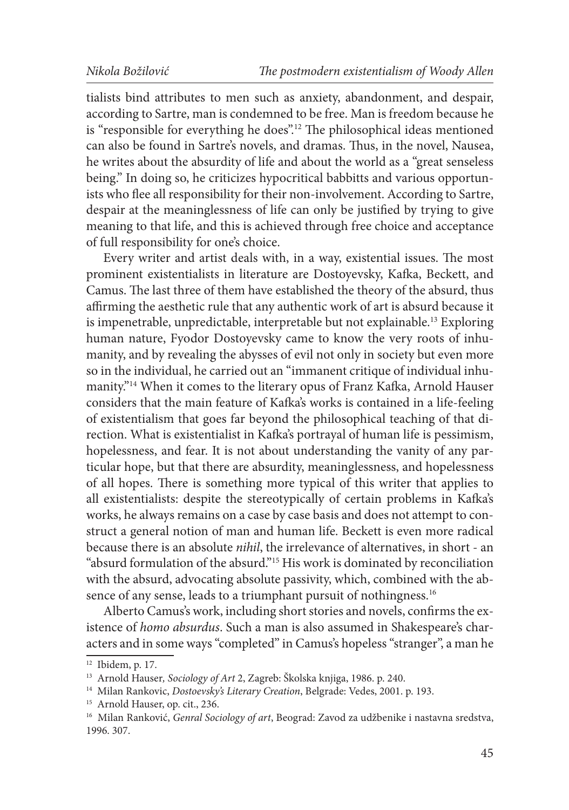tialists bind attributes to men such as anxiety, abandonment, and despair, according to Sartre, man is condemned to be free. Man is freedom because he is "responsible for everything he does".12 The philosophical ideas mentioned can also be found in Sartre's novels, and dramas. Thus, in the novel, Nausea, he writes about the absurdity of life and about the world as a "great senseless being." In doing so, he criticizes hypocritical babbitts and various opportunists who flee all responsibility for their non-involvement. According to Sartre, despair at the meaninglessness of life can only be justified by trying to give meaning to that life, and this is achieved through free choice and acceptance of full responsibility for one's choice.

Every writer and artist deals with, in a way, existential issues. The most prominent existentialists in literature are Dostoyevsky, Kafka, Beckett, and Camus. The last three of them have established the theory of the absurd, thus affirming the aesthetic rule that any authentic work of art is absurd because it is impenetrable, unpredictable, interpretable but not explainable.<sup>13</sup> Exploring human nature, Fyodor Dostoyevsky came to know the very roots of inhumanity, and by revealing the abysses of evil not only in society but even more so in the individual, he carried out an "immanent critique of individual inhumanity."14 When it comes to the literary opus of Franz Kafka, Arnold Hauser considers that the main feature of Kafka's works is contained in a life-feeling of existentialism that goes far beyond the philosophical teaching of that direction. What is existentialist in Kafka's portrayal of human life is pessimism, hopelessness, and fear. It is not about understanding the vanity of any particular hope, but that there are absurdity, meaninglessness, and hopelessness of all hopes. There is something more typical of this writer that applies to all existentialists: despite the stereotypically of certain problems in Kafka's works, he always remains on a case by case basis and does not attempt to construct a general notion of man and human life. Beckett is even more radical because there is an absolute *nihil*, the irrelevance of alternatives, in short - an "absurd formulation of the absurd."15 His work is dominated by reconciliation with the absurd, advocating absolute passivity, which, combined with the absence of any sense, leads to a triumphant pursuit of nothingness.<sup>16</sup>

Alberto Camus's work, including short stories and novels, confirms the existence of *homo absurdus*. Such a man is also assumed in Shakespeare's characters and in some ways "completed" in Camus's hopeless "stranger", a man he

<sup>12</sup> Ibidem, p. 17.

<sup>13</sup> Arnold Hauser*, Sociology of Art* 2, Zagreb: Školska knjiga, 1986. p. 240.

<sup>14</sup> Milan Rankovic, *Dostoevsky's Literary Creation*, Belgrade: Vedes, 2001. p. 193.

<sup>&</sup>lt;sup>15</sup> Arnold Hauser, op. cit., 236.

<sup>16</sup> Milan Ranković, *Genral Sociology of art*, Beograd: Zavod za udžbenike i nastavna sredstva, 1996. 307.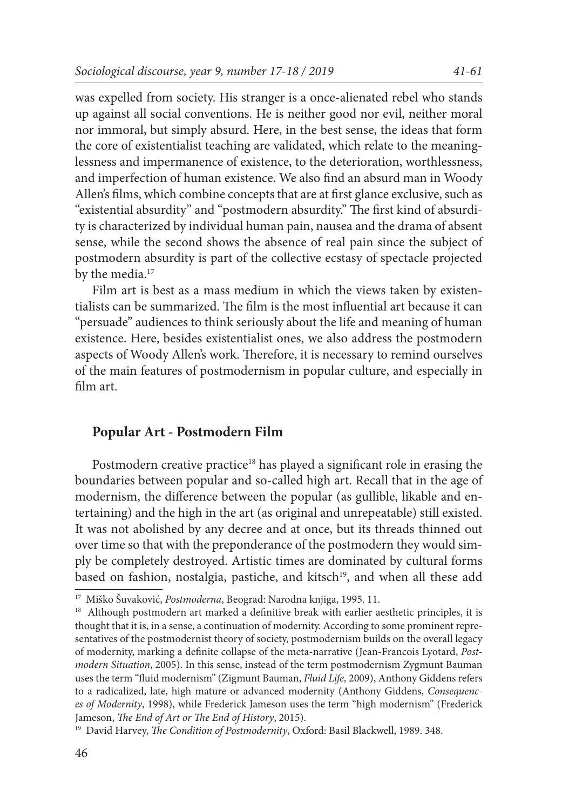was expelled from society. His stranger is a once-alienated rebel who stands up against all social conventions. He is neither good nor evil, neither moral nor immoral, but simply absurd. Here, in the best sense, the ideas that form the core of existentialist teaching are validated, which relate to the meaninglessness and impermanence of existence, to the deterioration, worthlessness, and imperfection of human existence. We also find an absurd man in Woody Allen's films, which combine concepts that are at first glance exclusive, such as "existential absurdity" and "postmodern absurdity." The first kind of absurdity is characterized by individual human pain, nausea and the drama of absent sense, while the second shows the absence of real pain since the subject of postmodern absurdity is part of the collective ecstasy of spectacle projected by the media.<sup>17</sup>

Film art is best as a mass medium in which the views taken by existentialists can be summarized. The film is the most influential art because it can "persuade" audiences to think seriously about the life and meaning of human existence. Here, besides existentialist ones, we also address the postmodern aspects of Woody Allen's work. Therefore, it is necessary to remind ourselves of the main features of postmodernism in popular culture, and especially in film art.

# **Popular Art - Postmodern Film**

Postmodern creative practice<sup>18</sup> has played a significant role in erasing the boundaries between popular and so-called high art. Recall that in the age of modernism, the difference between the popular (as gullible, likable and entertaining) and the high in the art (as original and unrepeatable) still existed. It was not abolished by any decree and at once, but its threads thinned out over time so that with the preponderance of the postmodern they would simply be completely destroyed. Artistic times are dominated by cultural forms based on fashion, nostalgia, pastiche, and kitsch<sup>19</sup>, and when all these add

<sup>17</sup> Miško Šuvaković, *Postmoderna*, Beograd: Narodna knjiga, 1995. 11.

<sup>&</sup>lt;sup>18</sup> Although postmodern art marked a definitive break with earlier aesthetic principles, it is thought that it is, in a sense, a continuation of modernity. According to some prominent representatives of the postmodernist theory of society, postmodernism builds on the overall legacy of modernity, marking a definite collapse of the meta-narrative (Jean-Francois Lyotard, *Postmodern Situation*, 2005). In this sense, instead of the term postmodernism Zygmunt Bauman uses the term "fluid modernism" (Zigmunt Bauman, *Fluid Life,* 2009), Anthony Giddens refers to a radicalized, late, high mature or advanced modernity (Anthony Giddens, *Consequences of Modernity*, 1998), while Frederick Jameson uses the term "high modernism" (Frederick Jameson, *The End of Art or The End of History*, 2015).

<sup>19</sup> David Harvey, *The Condition of Postmodernity*, Oxford: Basil Blackwell, 1989. 348.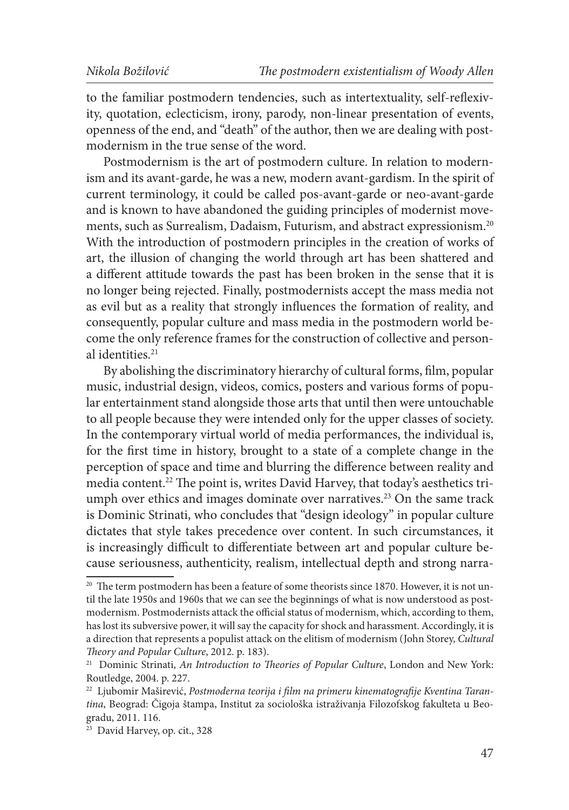to the familiar postmodern tendencies, such as intertextuality, self-reflexivity, quotation, eclecticism, irony, parody, non-linear presentation of events, openness of the end, and "death" of the author, then we are dealing with postmodernism in the true sense of the word.

Postmodernism is the art of postmodern culture. In relation to modernism and its avant-garde, he was a new, modern avant-gardism. In the spirit of current terminology, it could be called pos-avant-garde or neo-avant-garde and is known to have abandoned the guiding principles of modernist movements, such as Surrealism, Dadaism, Futurism, and abstract expressionism.20 With the introduction of postmodern principles in the creation of works of art, the illusion of changing the world through art has been shattered and a different attitude towards the past has been broken in the sense that it is no longer being rejected. Finally, postmodernists accept the mass media not as evil but as a reality that strongly influences the formation of reality, and consequently, popular culture and mass media in the postmodern world become the only reference frames for the construction of collective and personal identities.<sup>21</sup>

By abolishing the discriminatory hierarchy of cultural forms, film, popular music, industrial design, videos, comics, posters and various forms of popular entertainment stand alongside those arts that until then were untouchable to all people because they were intended only for the upper classes of society. In the contemporary virtual world of media performances, the individual is, for the first time in history, brought to a state of a complete change in the perception of space and time and blurring the difference between reality and media content.22 The point is, writes David Harvey, that today's aesthetics triumph over ethics and images dominate over narratives.<sup>23</sup> On the same track is Dominic Strinati, who concludes that "design ideology" in popular culture dictates that style takes precedence over content. In such circumstances, it is increasingly difficult to differentiate between art and popular culture because seriousness, authenticity, realism, intellectual depth and strong narra-

<sup>&</sup>lt;sup>20</sup> The term postmodern has been a feature of some theorists since 1870. However, it is not until the late 1950s and 1960s that we can see the beginnings of what is now understood as postmodernism. Postmodernists attack the official status of modernism, which, according to them, has lost its subversive power, it will say the capacity for shock and harassment. Accordingly, it is a direction that represents a populist attack on the elitism of modernism (John Storey, *Cultural Theory and Popular Culture*, 2012. p. 183).

<sup>&</sup>lt;sup>21</sup> Dominic Strinati, *An Introduction to Theories of Popular Culture*, London and New York: Routledge, 2004. p. 227.

<sup>22</sup> Ljubomir Maširević, *Postmoderna teorija i film na primeru kinematografije Kventina Tarantina*, Beograd: Čigoja štampa, Institut za sociološka istraživanja Filozofskog fakulteta u Beogradu, 2011. 116.

<sup>23</sup> David Harvey, op. cit., 328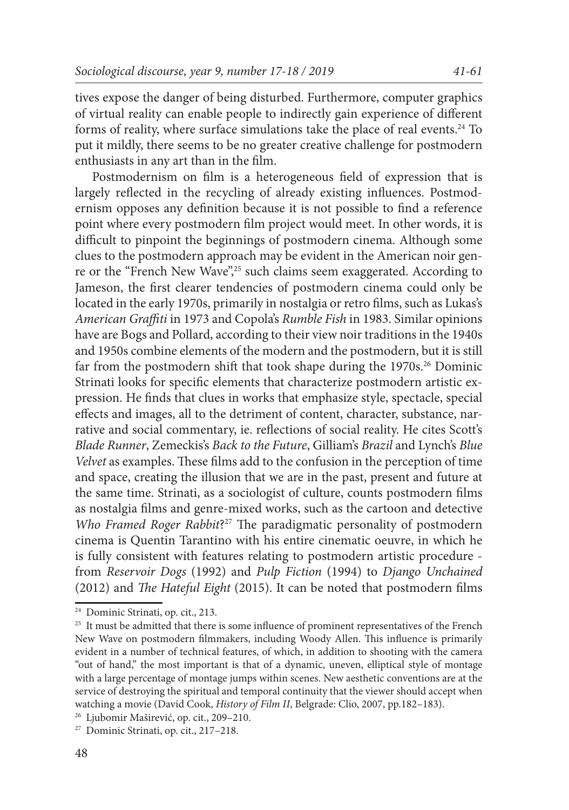tives expose the danger of being disturbed. Furthermore, computer graphics of virtual reality can enable people to indirectly gain experience of different forms of reality, where surface simulations take the place of real events.<sup>24</sup> To put it mildly, there seems to be no greater creative challenge for postmodern enthusiasts in any art than in the film.

Postmodernism on film is a heterogeneous field of expression that is largely reflected in the recycling of already existing influences. Postmodernism opposes any definition because it is not possible to find a reference point where every postmodern film project would meet. In other words, it is difficult to pinpoint the beginnings of postmodern cinema. Although some clues to the postmodern approach may be evident in the American noir genre or the "French New Wave",<sup>25</sup> such claims seem exaggerated. According to Jameson, the first clearer tendencies of postmodern cinema could only be located in the early 1970s, primarily in nostalgia or retro films, such as Lukas's *American Graffiti* in 1973 and Copola's *Rumble Fish* in 1983. Similar opinions have are Bogs and Pollard, according to their view noir traditions in the 1940s and 1950s combine elements of the modern and the postmodern, but it is still far from the postmodern shift that took shape during the 1970s.<sup>26</sup> Dominic Strinati looks for specific elements that characterize postmodern artistic expression. He finds that clues in works that emphasize style, spectacle, special effects and images, all to the detriment of content, character, substance, narrative and social commentary, ie. reflections of social reality. He cites Scott's *Blade Runner*, Zemeckis's *Back to the Future*, Gilliam's *Brazil* and Lynch's *Blue Velvet* as examples. These films add to the confusion in the perception of time and space, creating the illusion that we are in the past, present and future at the same time. Strinati, as a sociologist of culture, counts postmodern films as nostalgia films and genre-mixed works, such as the cartoon and detective *Who Framed Roger Rabbit*?27 The paradigmatic personality of postmodern cinema is Quentin Tarantino with his entire cinematic oeuvre, in which he is fully consistent with features relating to postmodern artistic procedure from *Reservoir Dogs* (1992) and *Pulp Fiction* (1994) to *Django Unchained* (2012) and *The Hateful Eight* (2015). It can be noted that postmodern films

<sup>24</sup> Dominic Strinati, op. cit., 213.

<sup>&</sup>lt;sup>25</sup> It must be admitted that there is some influence of prominent representatives of the French New Wave on postmodern filmmakers, including Woody Allen. This influence is primarily evident in a number of technical features, of which, in addition to shooting with the camera "out of hand," the most important is that of a dynamic, uneven, elliptical style of montage with a large percentage of montage jumps within scenes. New aesthetic conventions are at the service of destroying the spiritual and temporal continuity that the viewer should accept when watching a movie (David Cook, *History of Film II*, Belgrade: Clio, 2007, pp.182–183).

<sup>26</sup> Ljubomir Maširević, op. cit., 209–210.

<sup>27</sup> Dominic Strinati, op. cit., 217–218.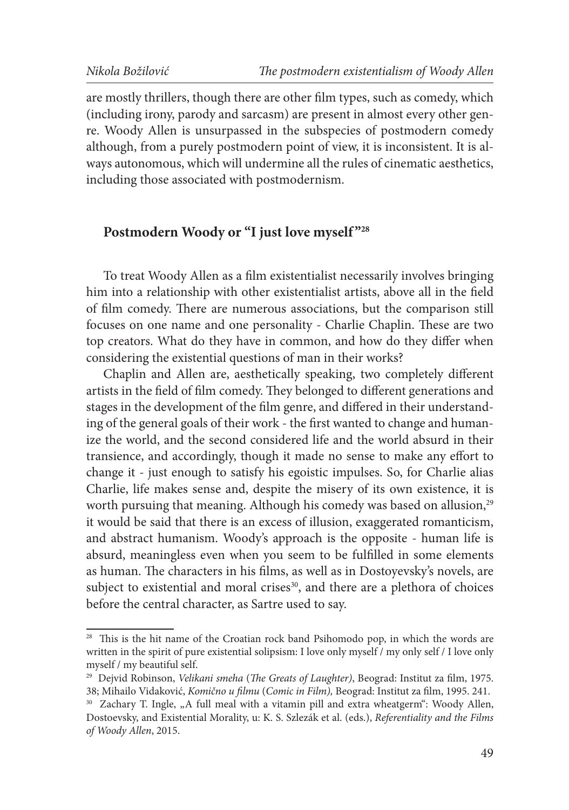are mostly thrillers, though there are other film types, such as comedy, which (including irony, parody and sarcasm) are present in almost every other genre. Woody Allen is unsurpassed in the subspecies of postmodern comedy although, from a purely postmodern point of view, it is inconsistent. It is always autonomous, which will undermine all the rules of cinematic aesthetics, including those associated with postmodernism.

# Postmodern Woody or "I just love myself"<sup>28</sup>

To treat Woody Allen as a film existentialist necessarily involves bringing him into a relationship with other existentialist artists, above all in the field of film comedy. There are numerous associations, but the comparison still focuses on one name and one personality - Charlie Chaplin. These are two top creators. What do they have in common, and how do they differ when considering the existential questions of man in their works?

Chaplin and Allen are, aesthetically speaking, two completely different artists in the field of film comedy. They belonged to different generations and stages in the development of the film genre, and differed in their understanding of the general goals of their work - the first wanted to change and humanize the world, and the second considered life and the world absurd in their transience, and accordingly, though it made no sense to make any effort to change it - just enough to satisfy his egoistic impulses. So, for Charlie alias Charlie, life makes sense and, despite the misery of its own existence, it is worth pursuing that meaning. Although his comedy was based on allusion,<sup>29</sup> it would be said that there is an excess of illusion, exaggerated romanticism, and abstract humanism. Woody's approach is the opposite - human life is absurd, meaningless even when you seem to be fulfilled in some elements as human. The characters in his films, as well as in Dostoyevsky's novels, are subject to existential and moral crises $30$ , and there are a plethora of choices before the central character, as Sartre used to say.

<sup>&</sup>lt;sup>28</sup> This is the hit name of the Croatian rock band Psihomodo pop, in which the words are written in the spirit of pure existential solipsism: I love only myself / my only self / I love only myself / my beautiful self.

<sup>29</sup> Dejvid Robinson, *Velikani smeha* (*The Greats of Laughter)*, Beograd: Institut za film, 1975. 38; Mihailo Vidaković, *Komično u filmu* (*Comic in Film),* Beograd: Institut za film, 1995. 241.

<sup>&</sup>lt;sup>30</sup> Zachary T. Ingle, "A full meal with a vitamin pill and extra wheatgerm": Woody Allen, Dostoevsky, and Existential Morality, u: K. S. Szlezák et al. (eds.), *Referentiality and the Films of Woody Allen*, 2015.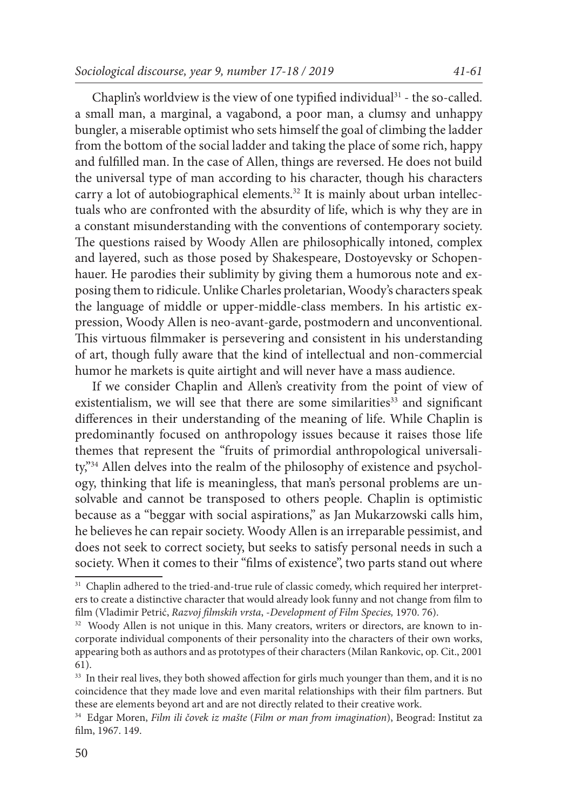Chaplin's worldview is the view of one typified individual<sup>31</sup> - the so-called. a small man, a marginal, a vagabond, a poor man, a clumsy and unhappy bungler, a miserable optimist who sets himself the goal of climbing the ladder from the bottom of the social ladder and taking the place of some rich, happy and fulfilled man. In the case of Allen, things are reversed. He does not build the universal type of man according to his character, though his characters carry a lot of autobiographical elements.<sup>32</sup> It is mainly about urban intellectuals who are confronted with the absurdity of life, which is why they are in a constant misunderstanding with the conventions of contemporary society. The questions raised by Woody Allen are philosophically intoned, complex and layered, such as those posed by Shakespeare, Dostoyevsky or Schopenhauer. He parodies their sublimity by giving them a humorous note and exposing them to ridicule. Unlike Charles proletarian, Woody's characters speak the language of middle or upper-middle-class members. In his artistic expression, Woody Allen is neo-avant-garde, postmodern and unconventional. This virtuous filmmaker is persevering and consistent in his understanding of art, though fully aware that the kind of intellectual and non-commercial humor he markets is quite airtight and will never have a mass audience.

If we consider Chaplin and Allen's creativity from the point of view of existentialism, we will see that there are some similarities<sup>33</sup> and significant differences in their understanding of the meaning of life. While Chaplin is predominantly focused on anthropology issues because it raises those life themes that represent the "fruits of primordial anthropological universality,"34 Allen delves into the realm of the philosophy of existence and psychology, thinking that life is meaningless, that man's personal problems are unsolvable and cannot be transposed to others people. Chaplin is optimistic because as a "beggar with social aspirations," as Jan Mukarzowski calls him, he believes he can repair society. Woody Allen is an irreparable pessimist, and does not seek to correct society, but seeks to satisfy personal needs in such a society. When it comes to their "films of existence", two parts stand out where

<sup>&</sup>lt;sup>31</sup> Chaplin adhered to the tried-and-true rule of classic comedy, which required her interpreters to create a distinctive character that would already look funny and not change from film to film (Vladimir Petrić, *Razvoj filmskih vrsta*, -*Development of Film Species,* 1970. 76).

<sup>&</sup>lt;sup>32</sup> Woody Allen is not unique in this. Many creators, writers or directors, are known to incorporate individual components of their personality into the characters of their own works, appearing both as authors and as prototypes of their characters (Milan Rankovic, op. Cit., 2001 61).

<sup>&</sup>lt;sup>33</sup> In their real lives, they both showed affection for girls much younger than them, and it is no coincidence that they made love and even marital relationships with their film partners. But these are elements beyond art and are not directly related to their creative work.

<sup>34</sup> Edgar Moren, *Film ili čovek iz mašte* (*Film or man from imagination*), Beograd: Institut za film, 1967. 149.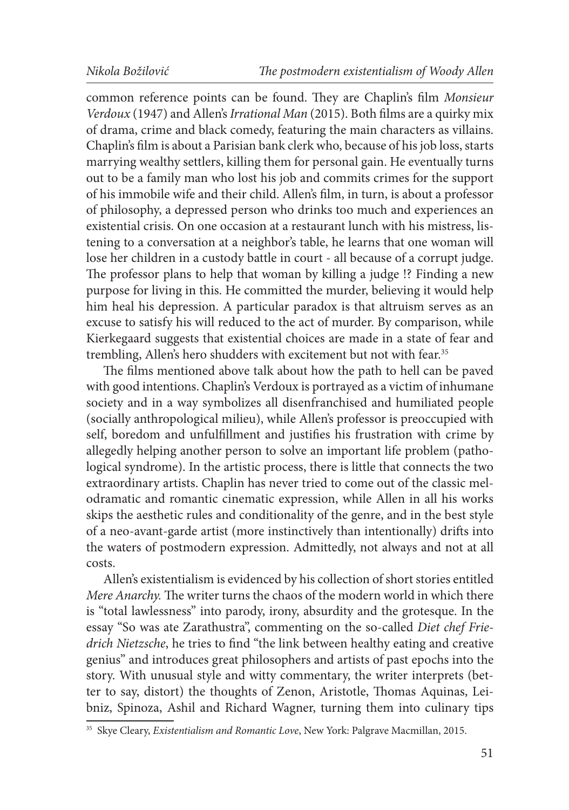common reference points can be found. They are Chaplin's film *Monsieur Verdoux* (1947) and Allen's *Irrational Man* (2015). Both films are a quirky mix of drama, crime and black comedy, featuring the main characters as villains. Chaplin's film is about a Parisian bank clerk who, because of his job loss, starts marrying wealthy settlers, killing them for personal gain. He eventually turns out to be a family man who lost his job and commits crimes for the support of his immobile wife and their child. Allen's film, in turn, is about a professor of philosophy, a depressed person who drinks too much and experiences an existential crisis. On one occasion at a restaurant lunch with his mistress, listening to a conversation at a neighbor's table, he learns that one woman will lose her children in a custody battle in court - all because of a corrupt judge. The professor plans to help that woman by killing a judge !? Finding a new purpose for living in this. He committed the murder, believing it would help him heal his depression. A particular paradox is that altruism serves as an excuse to satisfy his will reduced to the act of murder. By comparison, while Kierkegaard suggests that existential choices are made in a state of fear and trembling, Allen's hero shudders with excitement but not with fear.<sup>35</sup>

The films mentioned above talk about how the path to hell can be paved with good intentions. Chaplin's Verdoux is portrayed as a victim of inhumane society and in a way symbolizes all disenfranchised and humiliated people (socially anthropological milieu), while Allen's professor is preoccupied with self, boredom and unfulfillment and justifies his frustration with crime by allegedly helping another person to solve an important life problem (pathological syndrome). In the artistic process, there is little that connects the two extraordinary artists. Chaplin has never tried to come out of the classic melodramatic and romantic cinematic expression, while Allen in all his works skips the aesthetic rules and conditionality of the genre, and in the best style of a neo-avant-garde artist (more instinctively than intentionally) drifts into the waters of postmodern expression. Admittedly, not always and not at all costs.

Allen's existentialism is evidenced by his collection of short stories entitled *Mere Anarchy.* The writer turns the chaos of the modern world in which there is "total lawlessness" into parody, irony, absurdity and the grotesque. In the essay "So was ate Zarathustra", commenting on the so-called *Diet chef Friedrich Nietzsche*, he tries to find "the link between healthy eating and creative genius" and introduces great philosophers and artists of past epochs into the story. With unusual style and witty commentary, the writer interprets (better to say, distort) the thoughts of Zenon, Aristotle, Thomas Aquinas, Leibniz, Spinoza, Ashil and Richard Wagner, turning them into culinary tips

<sup>35</sup> Skye Cleary, *Existentialism and Romantic Love*, New York: Palgrave Macmillan, 2015.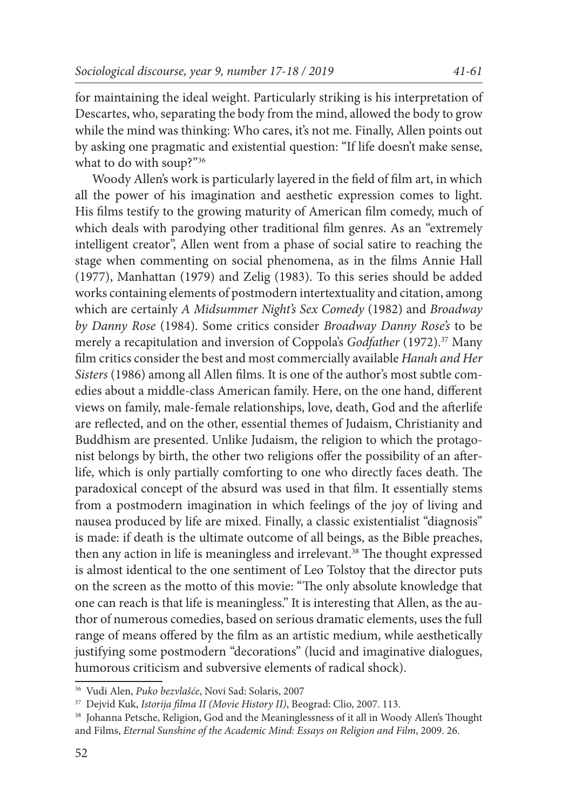for maintaining the ideal weight. Particularly striking is his interpretation of Descartes, who, separating the body from the mind, allowed the body to grow while the mind was thinking: Who cares, it's not me. Finally, Allen points out by asking one pragmatic and existential question: "If life doesn't make sense, what to do with soup?"36

Woody Allen's work is particularly layered in the field of film art, in which all the power of his imagination and aesthetic expression comes to light. His films testify to the growing maturity of American film comedy, much of which deals with parodying other traditional film genres. As an "extremely intelligent creator", Allen went from a phase of social satire to reaching the stage when commenting on social phenomena, as in the films Annie Hall (1977), Manhattan (1979) and Zelig (1983). To this series should be added works containing elements of postmodern intertextuality and citation, among which are certainly *A Midsummer Night's Sex Comedy* (1982) and *Broadway by Danny Rose* (1984). Some critics consider *Broadway Danny Rose's* to be merely a recapitulation and inversion of Coppola's *Godfather* (1972).<sup>37</sup> Many film critics consider the best and most commercially available *Hanah and Her Sisters* (1986) among all Allen films. It is one of the author's most subtle comedies about a middle-class American family. Here, on the one hand, different views on family, male-female relationships, love, death, God and the afterlife are reflected, and on the other, essential themes of Judaism, Christianity and Buddhism are presented. Unlike Judaism, the religion to which the protagonist belongs by birth, the other two religions offer the possibility of an afterlife, which is only partially comforting to one who directly faces death. The paradoxical concept of the absurd was used in that film. It essentially stems from a postmodern imagination in which feelings of the joy of living and nausea produced by life are mixed. Finally, a classic existentialist "diagnosis" is made: if death is the ultimate outcome of all beings, as the Bible preaches, then any action in life is meaningless and irrelevant.<sup>38</sup> The thought expressed is almost identical to the one sentiment of Leo Tolstoy that the director puts on the screen as the motto of this movie: "The only absolute knowledge that one can reach is that life is meaningless." It is interesting that Allen, as the author of numerous comedies, based on serious dramatic elements, uses the full range of means offered by the film as an artistic medium, while aesthetically justifying some postmodern "decorations" (lucid and imaginative dialogues, humorous criticism and subversive elements of radical shock).

<sup>36</sup> Vudi Alen, *Puko bezvlašće*, Novi Sad: Solaris, 2007

<sup>37</sup> Dejvid Kuk, *Istorija filma II (Movie History II)*, Beograd: Clio, 2007. 113.

<sup>38</sup> Johanna Petsche, Religion, God and the Meaninglessness of it all in Woody Allen's Thought and Films, *Eternal Sunshine of the Academic Mind: Essays on Religion and Film*, 2009. 26.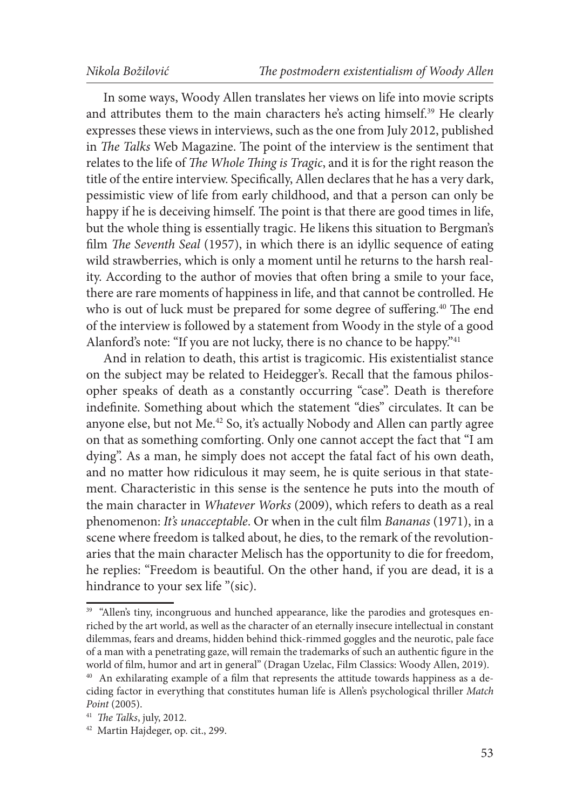In some ways, Woody Allen translates her views on life into movie scripts and attributes them to the main characters he's acting himself.<sup>39</sup> He clearly expresses these views in interviews, such as the one from July 2012, published in *The Talks* Web Magazine. The point of the interview is the sentiment that relates to the life of *The Whole Thing is Tragic*, and it is for the right reason the title of the entire interview. Specifically, Allen declares that he has a very dark, pessimistic view of life from early childhood, and that a person can only be happy if he is deceiving himself. The point is that there are good times in life, but the whole thing is essentially tragic. He likens this situation to Bergman's film *The Seventh Seal* (1957), in which there is an idyllic sequence of eating wild strawberries, which is only a moment until he returns to the harsh reality. According to the author of movies that often bring a smile to your face, there are rare moments of happiness in life, and that cannot be controlled. He who is out of luck must be prepared for some degree of suffering.<sup>40</sup> The end of the interview is followed by a statement from Woody in the style of a good Alanford's note: "If you are not lucky, there is no chance to be happy."<sup>41</sup>

And in relation to death, this artist is tragicomic. His existentialist stance on the subject may be related to Heidegger's. Recall that the famous philosopher speaks of death as a constantly occurring "case". Death is therefore indefinite. Something about which the statement "dies" circulates. It can be anyone else, but not Me.42 So, it's actually Nobody and Allen can partly agree on that as something comforting. Only one cannot accept the fact that "I am dying". As a man, he simply does not accept the fatal fact of his own death, and no matter how ridiculous it may seem, he is quite serious in that statement. Characteristic in this sense is the sentence he puts into the mouth of the main character in *Whatever Works* (2009), which refers to death as a real phenomenon: *It's unacceptable*. Or when in the cult film *Bananas* (1971), in a scene where freedom is talked about, he dies, to the remark of the revolutionaries that the main character Melisch has the opportunity to die for freedom, he replies: "Freedom is beautiful. On the other hand, if you are dead, it is a hindrance to your sex life "(sic).

<sup>&</sup>lt;sup>39</sup> "Allen's tiny, incongruous and hunched appearance, like the parodies and grotesques enriched by the art world, as well as the character of an eternally insecure intellectual in constant dilemmas, fears and dreams, hidden behind thick-rimmed goggles and the neurotic, pale face of a man with a penetrating gaze, will remain the trademarks of such an authentic figure in the world of film, humor and art in general" (Dragan Uzelac, Film Classics: Woody Allen, 2019).

<sup>&</sup>lt;sup>40</sup> An exhilarating example of a film that represents the attitude towards happiness as a deciding factor in everything that constitutes human life is Allen's psychological thriller *Match Point* (2005).

<sup>41</sup> *The Talks*, july, 2012.

<sup>42</sup> Martin Hajdeger, op. cit., 299.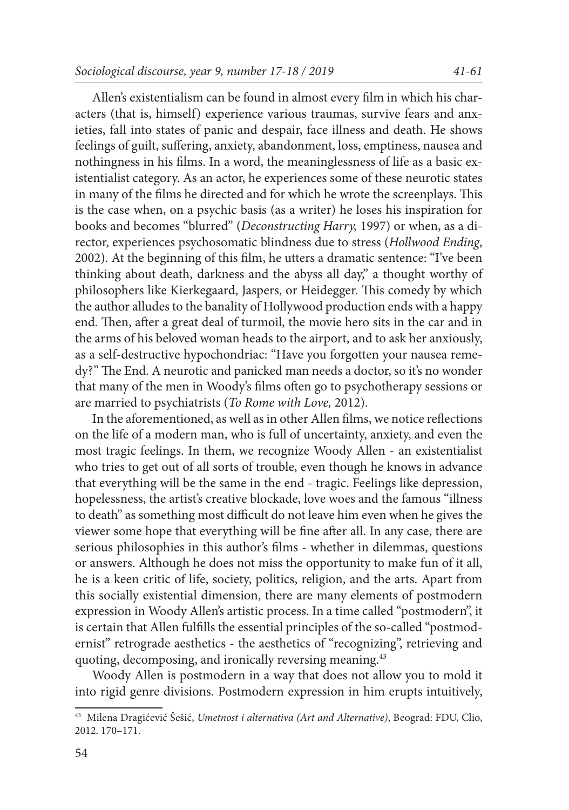Allen's existentialism can be found in almost every film in which his characters (that is, himself) experience various traumas, survive fears and anxieties, fall into states of panic and despair, face illness and death. He shows feelings of guilt, suffering, anxiety, abandonment, loss, emptiness, nausea and nothingness in his films. In a word, the meaninglessness of life as a basic existentialist category. As an actor, he experiences some of these neurotic states in many of the films he directed and for which he wrote the screenplays. This is the case when, on a psychic basis (as a writer) he loses his inspiration for books and becomes "blurred" (*Deconstructing Harry,* 1997) or when, as a director, experiences psychosomatic blindness due to stress (*Hollwood Ending*, 2002). At the beginning of this film, he utters a dramatic sentence: "I've been thinking about death, darkness and the abyss all day," a thought worthy of philosophers like Kierkegaard, Jaspers, or Heidegger. This comedy by which the author alludes to the banality of Hollywood production ends with a happy end. Then, after a great deal of turmoil, the movie hero sits in the car and in the arms of his beloved woman heads to the airport, and to ask her anxiously, as a self-destructive hypochondriac: "Have you forgotten your nausea remedy?" The End. A neurotic and panicked man needs a doctor, so it's no wonder that many of the men in Woody's films often go to psychotherapy sessions or are married to psychiatrists (*To Rome with Love,* 2012).

In the aforementioned, as well as in other Allen films, we notice reflections on the life of a modern man, who is full of uncertainty, anxiety, and even the most tragic feelings. In them, we recognize Woody Allen - an existentialist who tries to get out of all sorts of trouble, even though he knows in advance that everything will be the same in the end - tragic. Feelings like depression, hopelessness, the artist's creative blockade, love woes and the famous "illness to death" as something most difficult do not leave him even when he gives the viewer some hope that everything will be fine after all. In any case, there are serious philosophies in this author's films - whether in dilemmas, questions or answers. Although he does not miss the opportunity to make fun of it all, he is a keen critic of life, society, politics, religion, and the arts. Apart from this socially existential dimension, there are many elements of postmodern expression in Woody Allen's artistic process. In a time called "postmodern", it is certain that Allen fulfills the essential principles of the so-called "postmodernist" retrograde aesthetics - the aesthetics of "recognizing", retrieving and quoting, decomposing, and ironically reversing meaning.<sup>43</sup>

Woody Allen is postmodern in a way that does not allow you to mold it into rigid genre divisions. Postmodern expression in him erupts intuitively,

<sup>43</sup> Milena Dragićević Šešić, *Umetnost i alternativa (Art and Alternative)*, Beograd: FDU, Clio, 2012. 170–171.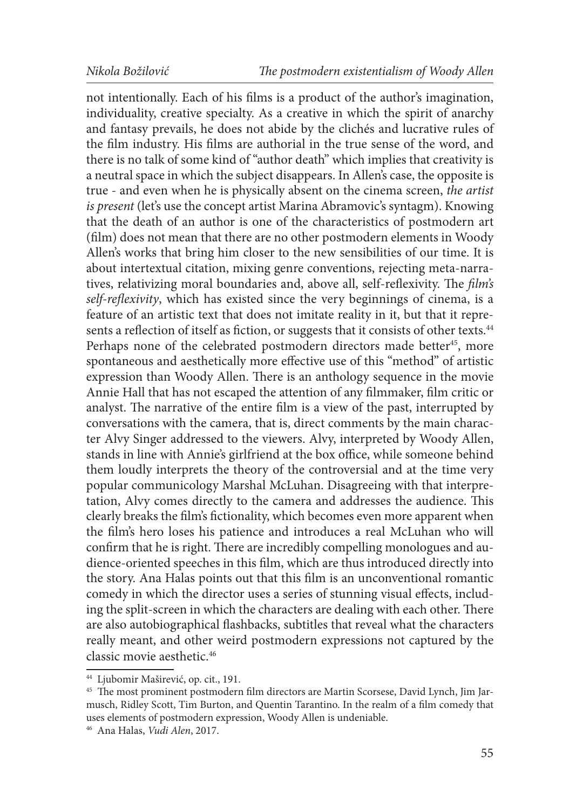not intentionally. Each of his films is a product of the author's imagination, individuality, creative specialty. As a creative in which the spirit of anarchy and fantasy prevails, he does not abide by the clichés and lucrative rules of the film industry. His films are authorial in the true sense of the word, and there is no talk of some kind of "author death" which implies that creativity is a neutral space in which the subject disappears. In Allen's case, the opposite is true - and even when he is physically absent on the cinema screen, *the artist is present* (let's use the concept artist Marina Abramovic's syntagm). Knowing that the death of an author is one of the characteristics of postmodern art (film) does not mean that there are no other postmodern elements in Woody Allen's works that bring him closer to the new sensibilities of our time. It is about intertextual citation, mixing genre conventions, rejecting meta-narratives, relativizing moral boundaries and, above all, self-reflexivity. The *film's self-reflexivity*, which has existed since the very beginnings of cinema, is a feature of an artistic text that does not imitate reality in it, but that it represents a reflection of itself as fiction, or suggests that it consists of other texts.<sup>44</sup> Perhaps none of the celebrated postmodern directors made better<sup>45</sup>, more spontaneous and aesthetically more effective use of this "method" of artistic expression than Woody Allen. There is an anthology sequence in the movie Annie Hall that has not escaped the attention of any filmmaker, film critic or analyst. The narrative of the entire film is a view of the past, interrupted by conversations with the camera, that is, direct comments by the main character Alvy Singer addressed to the viewers. Alvy, interpreted by Woody Allen, stands in line with Annie's girlfriend at the box office, while someone behind them loudly interprets the theory of the controversial and at the time very popular communicology Marshal McLuhan. Disagreeing with that interpretation, Alvy comes directly to the camera and addresses the audience. This clearly breaks the film's fictionality, which becomes even more apparent when the film's hero loses his patience and introduces a real McLuhan who will confirm that he is right. There are incredibly compelling monologues and audience-oriented speeches in this film, which are thus introduced directly into the story. Ana Halas points out that this film is an unconventional romantic comedy in which the director uses a series of stunning visual effects, including the split-screen in which the characters are dealing with each other. There are also autobiographical flashbacks, subtitles that reveal what the characters really meant, and other weird postmodern expressions not captured by the classic movie aesthetic.46

<sup>44</sup> Ljubomir Maširević, op. cit., 191.

<sup>45</sup> The most prominent postmodern film directors are Martin Scorsese, David Lynch, Jim Jarmusch, Ridley Scott, Tim Burton, and Quentin Tarantino. In the realm of a film comedy that uses elements of postmodern expression, Woody Allen is undeniable.

<sup>46</sup> Ana Halas, *Vudi Alen*, 2017.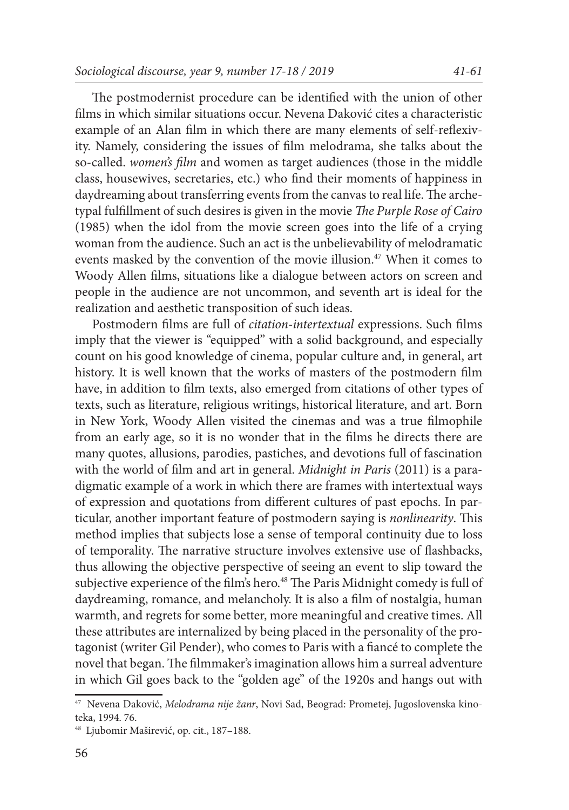The postmodernist procedure can be identified with the union of other films in which similar situations occur. Nevena Daković cites a characteristic example of an Alan film in which there are many elements of self-reflexivity. Namely, considering the issues of film melodrama, she talks about the so-called. *women's film* and women as target audiences (those in the middle class, housewives, secretaries, etc.) who find their moments of happiness in daydreaming about transferring events from the canvas to real life. The archetypal fulfillment of such desires is given in the movie *The Purple Rose of Cairo* (1985) when the idol from the movie screen goes into the life of a crying woman from the audience. Such an act is the unbelievability of melodramatic events masked by the convention of the movie illusion.<sup>47</sup> When it comes to Woody Allen films, situations like a dialogue between actors on screen and people in the audience are not uncommon, and seventh art is ideal for the realization and aesthetic transposition of such ideas.

Postmodern films are full of *citation-intertextual* expressions. Such films imply that the viewer is "equipped" with a solid background, and especially count on his good knowledge of cinema, popular culture and, in general, art history. It is well known that the works of masters of the postmodern film have, in addition to film texts, also emerged from citations of other types of texts, such as literature, religious writings, historical literature, and art. Born in New York, Woody Allen visited the cinemas and was a true filmophile from an early age, so it is no wonder that in the films he directs there are many quotes, allusions, parodies, pastiches, and devotions full of fascination with the world of film and art in general. *Midnight in Paris* (2011) is a paradigmatic example of a work in which there are frames with intertextual ways of expression and quotations from different cultures of past epochs. In particular, another important feature of postmodern saying is *nonlinearity*. This method implies that subjects lose a sense of temporal continuity due to loss of temporality. The narrative structure involves extensive use of flashbacks, thus allowing the objective perspective of seeing an event to slip toward the subjective experience of the film's hero.<sup>48</sup> The Paris Midnight comedy is full of daydreaming, romance, and melancholy. It is also a film of nostalgia, human warmth, and regrets for some better, more meaningful and creative times. All these attributes are internalized by being placed in the personality of the protagonist (writer Gil Pender), who comes to Paris with a fiancé to complete the novel that began. The filmmaker's imagination allows him a surreal adventure in which Gil goes back to the "golden age" of the 1920s and hangs out with

<sup>47</sup> Nevena Daković, *Melodrama nije žanr*, Novi Sad, Beograd: Prometej, Jugoslovenska kinoteka, 1994. 76.

<sup>48</sup> Ljubomir Maširević, op. cit., 187–188.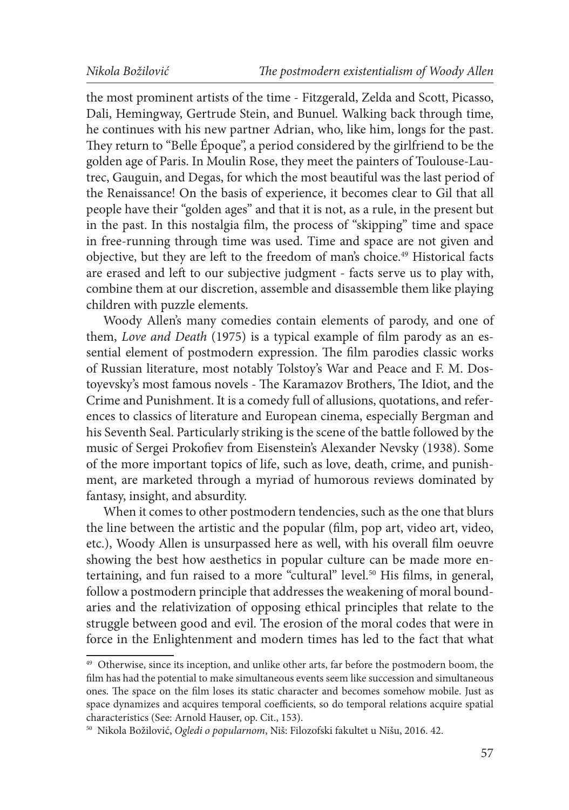the most prominent artists of the time - Fitzgerald, Zelda and Scott, Picasso, Dali, Hemingway, Gertrude Stein, and Bunuel. Walking back through time, he continues with his new partner Adrian, who, like him, longs for the past. They return to "Belle Époque", a period considered by the girlfriend to be the golden age of Paris. In Moulin Rose, they meet the painters of Toulouse-Lautrec, Gauguin, and Degas, for which the most beautiful was the last period of the Renaissance! On the basis of experience, it becomes clear to Gil that all people have their "golden ages" and that it is not, as a rule, in the present but in the past. In this nostalgia film, the process of "skipping" time and space in free-running through time was used. Time and space are not given and objective, but they are left to the freedom of man's choice.49 Historical facts are erased and left to our subjective judgment - facts serve us to play with, combine them at our discretion, assemble and disassemble them like playing children with puzzle elements.

Woody Allen's many comedies contain elements of parody, and one of them, *Love and Death* (1975) is a typical example of film parody as an essential element of postmodern expression. The film parodies classic works of Russian literature, most notably Tolstoy's War and Peace and F. M. Dostoyevsky's most famous novels - The Karamazov Brothers, The Idiot, and the Crime and Punishment. It is a comedy full of allusions, quotations, and references to classics of literature and European cinema, especially Bergman and his Seventh Seal. Particularly striking is the scene of the battle followed by the music of Sergei Prokofiev from Eisenstein's Alexander Nevsky (1938). Some of the more important topics of life, such as love, death, crime, and punishment, are marketed through a myriad of humorous reviews dominated by fantasy, insight, and absurdity.

When it comes to other postmodern tendencies, such as the one that blurs the line between the artistic and the popular (film, pop art, video art, video, etc.), Woody Allen is unsurpassed here as well, with his overall film oeuvre showing the best how aesthetics in popular culture can be made more entertaining, and fun raised to a more "cultural" level.<sup>50</sup> His films, in general, follow a postmodern principle that addresses the weakening of moral boundaries and the relativization of opposing ethical principles that relate to the struggle between good and evil. The erosion of the moral codes that were in force in the Enlightenment and modern times has led to the fact that what

<sup>&</sup>lt;sup>49</sup> Otherwise, since its inception, and unlike other arts, far before the postmodern boom, the film has had the potential to make simultaneous events seem like succession and simultaneous ones. The space on the film loses its static character and becomes somehow mobile. Just as space dynamizes and acquires temporal coefficients, so do temporal relations acquire spatial characteristics (See: Arnold Hauser, op. Cit., 153).

<sup>50</sup> Nikola Božilović, *Ogledi o popularnom*, Niš: Filozofski fakultet u Nišu, 2016. 42.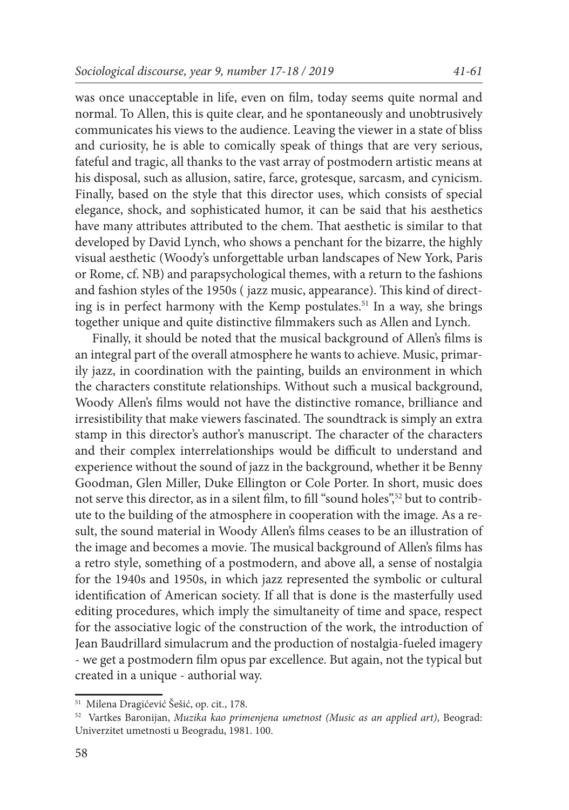was once unacceptable in life, even on film, today seems quite normal and normal. To Allen, this is quite clear, and he spontaneously and unobtrusively communicates his views to the audience. Leaving the viewer in a state of bliss and curiosity, he is able to comically speak of things that are very serious, fateful and tragic, all thanks to the vast array of postmodern artistic means at his disposal, such as allusion, satire, farce, grotesque, sarcasm, and cynicism. Finally, based on the style that this director uses, which consists of special elegance, shock, and sophisticated humor, it can be said that his aesthetics have many attributes attributed to the chem. That aesthetic is similar to that developed by David Lynch, who shows a penchant for the bizarre, the highly visual aesthetic (Woody's unforgettable urban landscapes of New York, Paris

or Rome, cf. NB) and parapsychological themes, with a return to the fashions and fashion styles of the 1950s ( jazz music, appearance). This kind of directing is in perfect harmony with the Kemp postulates.51 In a way, she brings together unique and quite distinctive filmmakers such as Allen and Lynch.

Finally, it should be noted that the musical background of Allen's films is an integral part of the overall atmosphere he wants to achieve. Music, primarily jazz, in coordination with the painting, builds an environment in which the characters constitute relationships. Without such a musical background, Woody Allen's films would not have the distinctive romance, brilliance and irresistibility that make viewers fascinated. The soundtrack is simply an extra stamp in this director's author's manuscript. The character of the characters and their complex interrelationships would be difficult to understand and experience without the sound of jazz in the background, whether it be Benny Goodman, Glen Miller, Duke Ellington or Cole Porter. In short, music does not serve this director, as in a silent film, to fill "sound holes",<sup>52</sup> but to contribute to the building of the atmosphere in cooperation with the image. As a result, the sound material in Woody Allen's films ceases to be an illustration of the image and becomes a movie. The musical background of Allen's films has a retro style, something of a postmodern, and above all, a sense of nostalgia for the 1940s and 1950s, in which jazz represented the symbolic or cultural identification of American society. If all that is done is the masterfully used editing procedures, which imply the simultaneity of time and space, respect for the associative logic of the construction of the work, the introduction of Jean Baudrillard simulacrum and the production of nostalgia-fueled imagery - we get a postmodern film opus par excellence. But again, not the typical but created in a unique - authorial way.

<sup>51</sup> Milena Dragićević Šešić, op. cit., 178.

<sup>52</sup> Vartkes Baronijan, *Muzika kao primenjena umetnost (Music as an applied art)*, Beograd: Univerzitet umetnosti u Beogradu, 1981. 100.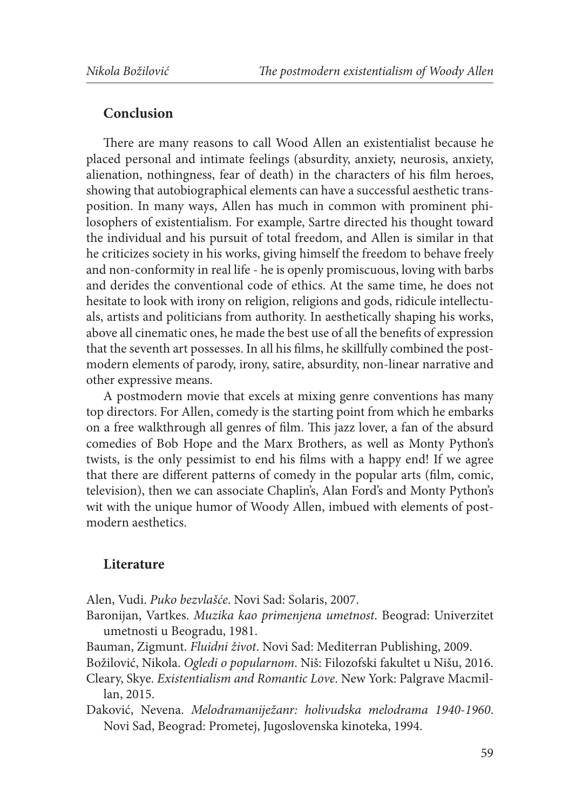#### **Conclusion**

There are many reasons to call Wood Allen an existentialist because he placed personal and intimate feelings (absurdity, anxiety, neurosis, anxiety, alienation, nothingness, fear of death) in the characters of his film heroes, showing that autobiographical elements can have a successful aesthetic transposition. In many ways, Allen has much in common with prominent philosophers of existentialism. For example, Sartre directed his thought toward the individual and his pursuit of total freedom, and Allen is similar in that he criticizes society in his works, giving himself the freedom to behave freely and non-conformity in real life - he is openly promiscuous, loving with barbs and derides the conventional code of ethics. At the same time, he does not hesitate to look with irony on religion, religions and gods, ridicule intellectuals, artists and politicians from authority. In aesthetically shaping his works, above all cinematic ones, he made the best use of all the benefits of expression that the seventh art possesses. In all his films, he skillfully combined the postmodern elements of parody, irony, satire, absurdity, non-linear narrative and other expressive means.

A postmodern movie that excels at mixing genre conventions has many top directors. For Allen, comedy is the starting point from which he embarks on a free walkthrough all genres of film. This jazz lover, a fan of the absurd comedies of Bob Hope and the Marx Brothers, as well as Monty Python's twists, is the only pessimist to end his films with a happy end! If we agree that there are different patterns of comedy in the popular arts (film, comic, television), then we can associate Chaplin's, Alan Ford's and Monty Python's wit with the unique humor of Woody Allen, imbued with elements of postmodern aesthetics.

### **Literature**

Alen, Vudi. *Puko bezvlašće*. Novi Sad: Solaris, 2007.

- Baronijan, Vartkes. *Muzika kao primenjena umetnost*. Beograd: Univerzitet umetnosti u Beogradu, 1981.
- Bauman, Zigmunt. *Fluidni život*. Novi Sad: Mediterran Publishing, 2009.

Božilović, Nikola. *Ogledi o popularnom*. Niš: Filozofski fakultet u Nišu, 2016.

- Cleary, Skye. *Existentialism and Romantic Love*. New York: Palgrave Macmillan, 2015.
- Daković, Nevena. *Melodramaniježanr: holivudska melodrama 1940-1960*. Novi Sad, Beograd: Prometej, Jugoslovenska kinoteka, 1994.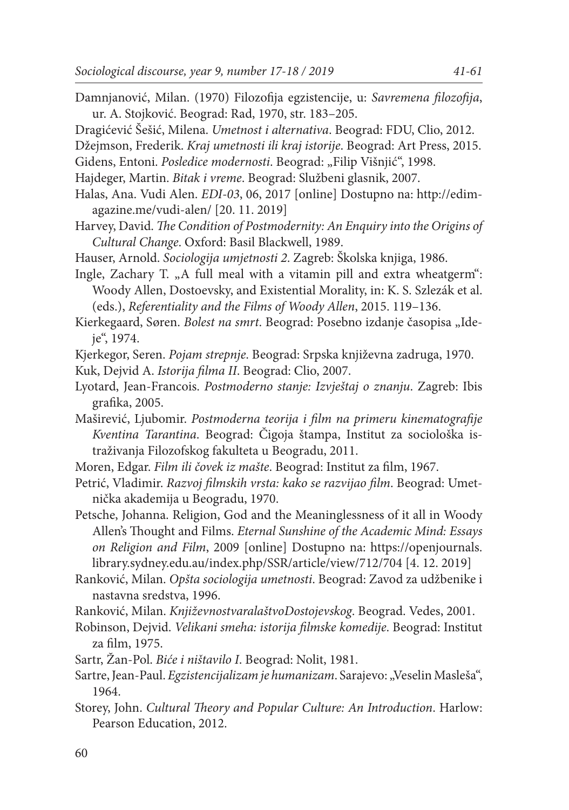- Damnjanović, Milan. (1970) Filozofija egzistencije, u: *Savremena filozofija*, ur. A. Stojković. Beograd: Rad, 1970, str. 183–205. Dragićević Šešić, Milena. *Umetnost i alternativa*. Beograd: FDU, Clio, 2012. Džejmson, Frederik. *Kraj umetnosti ili kraj istorije*. Beograd: Art Press, 2015. Gidens, Entoni. *Posledice modernosti*. Beograd: "Filip Višnjić", 1998. Hajdeger, Martin. *Bitak i vreme*. Beograd: Službeni glasnik, 2007. Halas, Ana. Vudi Alen. *EDI-03*, 06, 2017 [online] Dostupno na: http://edimagazine.me/vudi-alen/ [20. 11. 2019]
- Harvey, David. *The Condition of Postmodernity: An Enquiry into the Origins of Cultural Change*. Oxford: Basil Blackwell, 1989.
- Hauser, Arnold. *Sociologija umjetnosti 2*. Zagreb: Školska knjiga, 1986.

Ingle, Zachary T. "A full meal with a vitamin pill and extra wheatgerm": Woody Allen, Dostoevsky, and Existential Morality, in: K. S. Szlezák et al. (eds.), *Referentiality and the Films of Woody Allen*, 2015. 119–136.

Kierkegaard, Søren. *Bolest na smrt*. Beograd: Posebno izdanje časopisa "Ideje", 1974.

- Kjerkegor, Seren. *Pojam strepnje*. Beograd: Srpska književna zadruga, 1970.
- Kuk, Dejvid A. *Istorija filma II*. Beograd: Clio, 2007.
- Lyotard, Jean-Francois. *Postmoderno stanje: Izvještaj o znanju*. Zagreb: Ibis grafika, 2005.
- Maširević, Ljubomir. *Postmoderna teorija i film na primeru kinematografije Kventina Tarantina*. Beograd: Čigoja štampa, Institut za sociološka istraživanja Filozofskog fakulteta u Beogradu, 2011.
- Moren, Edgar. *Film ili čovek iz mašte*. Beograd: Institut za film, 1967.
- Petrić, Vladimir. *Razvoj filmskih vrsta: kako se razvijao film*. Beograd: Umetnička akademija u Beogradu, 1970.

Petsche, Johanna. Religion, God and the Meaninglessness of it all in Woody Allen's Thought and Films. *Eternal Sunshine of the Academic Mind: Essays on Religion and Film*, 2009 [online] Dostupno na: https://openjournals. library.sydney.edu.au/index.php/SSR/article/view/712/704 [4. 12. 2019]

- Ranković, Milan. *Opšta sociologija umetnosti*. Beograd: Zavod za udžbenike i nastavna sredstva, 1996.
- Ranković, Milan. *KnjiževnostvaralaštvoDostojevskog*. Beograd. Vedes, 2001.
- Robinson, Dejvid. *Velikani smeha: istorija filmske komedije*. Beograd: Institut za film, 1975.
- Sartr, Žan-Pol. *Biće i ništavilo I*. Beograd: Nolit, 1981.
- Sartre, Jean-Paul. *Egzistencijalizam je humanizam*. Sarajevo: "Veselin Masleša", 1964.
- Storey, John. *Cultural Theory and Popular Culture: An Introduction*. Harlow: Pearson Education, 2012.